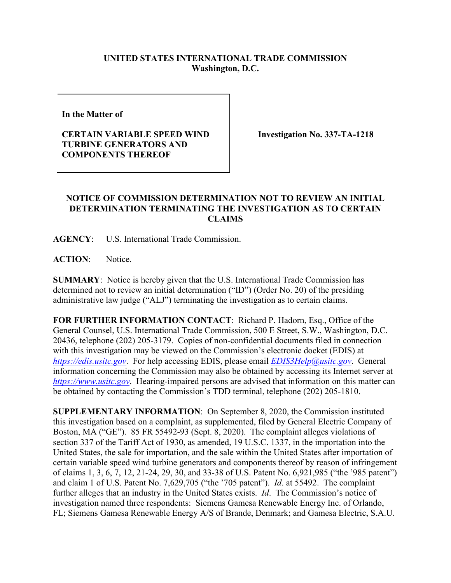## **UNITED STATES INTERNATIONAL TRADE COMMISSION Washington, D.C.**

**In the Matter of** 

## **CERTAIN VARIABLE SPEED WIND TURBINE GENERATORS AND COMPONENTS THEREOF**

**Investigation No. 337-TA-1218**

## **NOTICE OF COMMISSION DETERMINATION NOT TO REVIEW AN INITIAL DETERMINATION TERMINATING THE INVESTIGATION AS TO CERTAIN CLAIMS**

**AGENCY**: U.S. International Trade Commission.

**ACTION**: Notice.

**SUMMARY**: Notice is hereby given that the U.S. International Trade Commission has determined not to review an initial determination ("ID") (Order No. 20) of the presiding administrative law judge ("ALJ") terminating the investigation as to certain claims.

**FOR FURTHER INFORMATION CONTACT**: Richard P. Hadorn, Esq., Office of the General Counsel, U.S. International Trade Commission, 500 E Street, S.W., Washington, D.C. 20436, telephone (202) 205-3179. Copies of non-confidential documents filed in connection with this investigation may be viewed on the Commission's electronic docket (EDIS) at *[https://edis.usitc.gov](https://edis.usitc.gov/)*. For help accessing EDIS, please email *[EDIS3Help@usitc.gov](mailto:EDIS3Help@usitc.gov)*. General information concerning the Commission may also be obtained by accessing its Internet server at *[https://www.usitc.gov](https://www.usitc.gov/)*. Hearing-impaired persons are advised that information on this matter can be obtained by contacting the Commission's TDD terminal, telephone (202) 205-1810.

**SUPPLEMENTARY INFORMATION**: On September 8, 2020, the Commission instituted this investigation based on a complaint, as supplemented, filed by General Electric Company of Boston, MA ("GE"). 85 FR 55492-93 (Sept. 8, 2020). The complaint alleges violations of section 337 of the Tariff Act of 1930, as amended, 19 U.S.C. 1337, in the importation into the United States, the sale for importation, and the sale within the United States after importation of certain variable speed wind turbine generators and components thereof by reason of infringement of claims 1, 3, 6, 7, 12, 21-24, 29, 30, and 33-38 of U.S. Patent No. 6,921,985 ("the '985 patent") and claim 1 of U.S. Patent No. 7,629,705 ("the '705 patent"). *Id*. at 55492. The complaint further alleges that an industry in the United States exists. *Id*. The Commission's notice of investigation named three respondents: Siemens Gamesa Renewable Energy Inc. of Orlando, FL; Siemens Gamesa Renewable Energy A/S of Brande, Denmark; and Gamesa Electric, S.A.U.